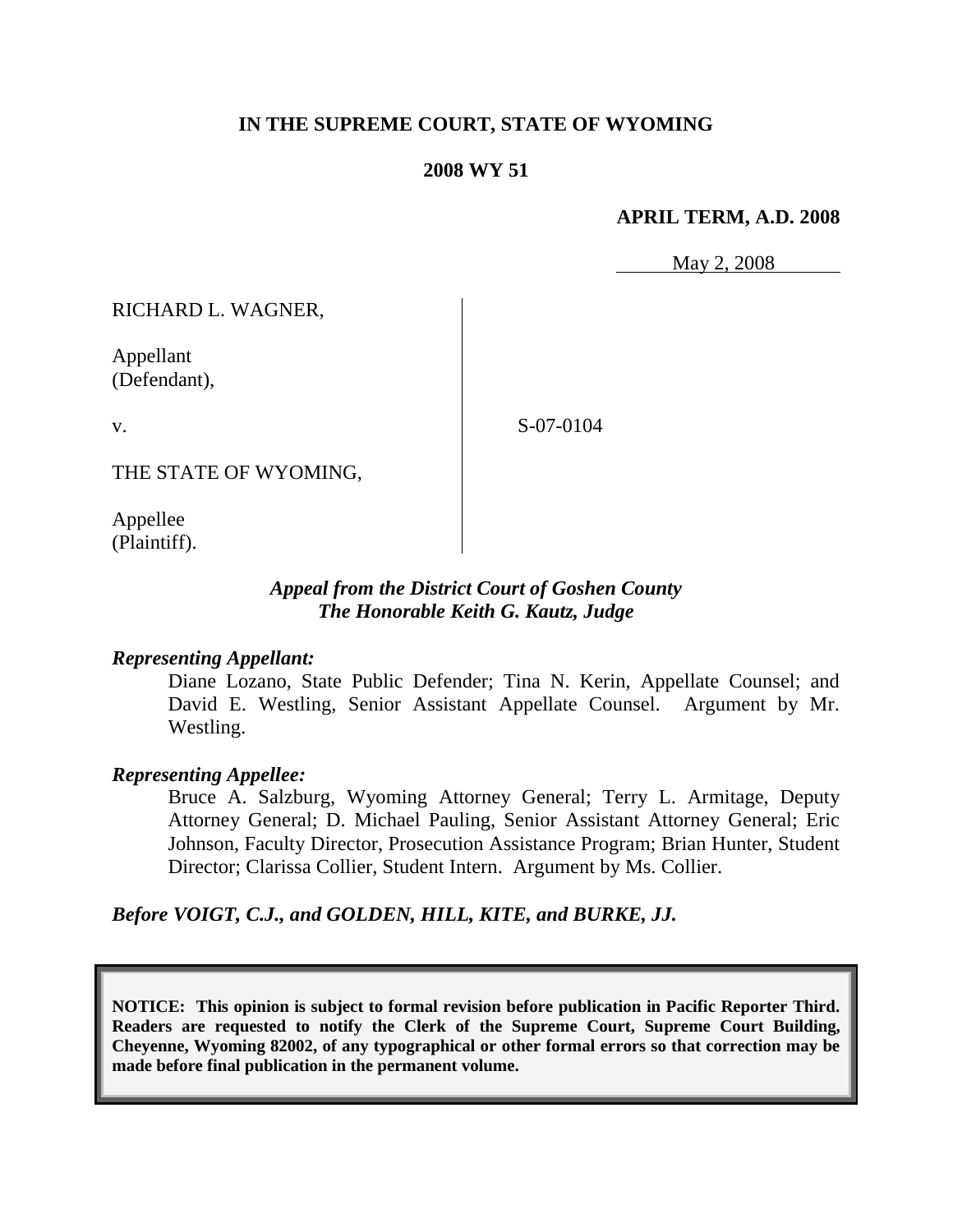# **IN THE SUPREME COURT, STATE OF WYOMING**

#### **2008 WY 51**

#### **APRIL TERM, A.D. 2008**

May 2, 2008

RICHARD L. WAGNER,

Appellant (Defendant),

v.

S-07-0104

THE STATE OF WYOMING,

Appellee (Plaintiff).

## *Appeal from the District Court of Goshen County The Honorable Keith G. Kautz, Judge*

### *Representing Appellant:*

Diane Lozano, State Public Defender; Tina N. Kerin, Appellate Counsel; and David E. Westling, Senior Assistant Appellate Counsel. Argument by Mr. Westling.

#### *Representing Appellee:*

Bruce A. Salzburg, Wyoming Attorney General; Terry L. Armitage, Deputy Attorney General; D. Michael Pauling, Senior Assistant Attorney General; Eric Johnson, Faculty Director, Prosecution Assistance Program; Brian Hunter, Student Director; Clarissa Collier, Student Intern. Argument by Ms. Collier.

*Before VOIGT, C.J., and GOLDEN, HILL, KITE, and BURKE, JJ.*

**NOTICE: This opinion is subject to formal revision before publication in Pacific Reporter Third. Readers are requested to notify the Clerk of the Supreme Court, Supreme Court Building, Cheyenne, Wyoming 82002, of any typographical or other formal errors so that correction may be made before final publication in the permanent volume.**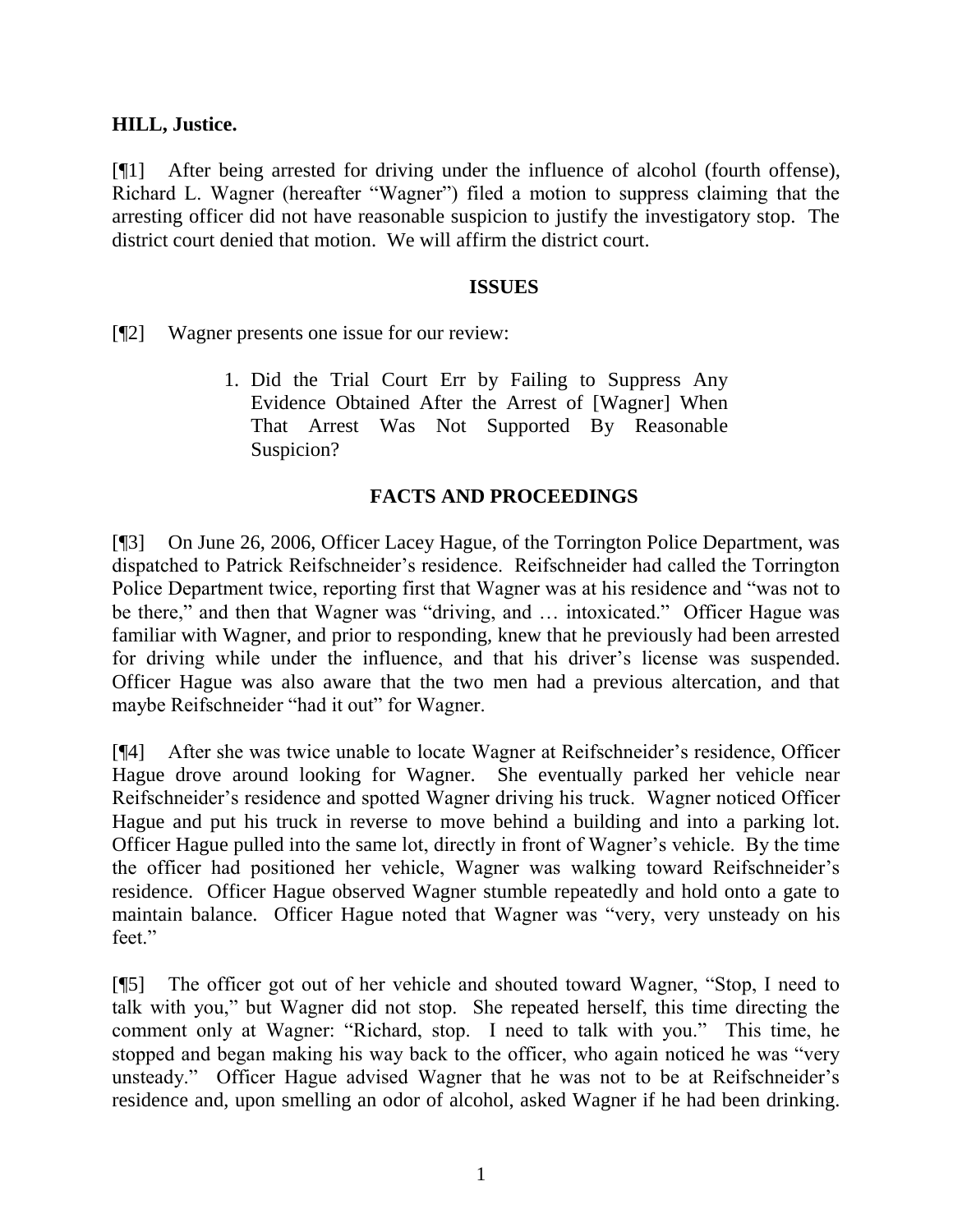# **HILL, Justice.**

[¶1] After being arrested for driving under the influence of alcohol (fourth offense), Richard L. Wagner (hereafter "Wagner") filed a motion to suppress claiming that the arresting officer did not have reasonable suspicion to justify the investigatory stop. The district court denied that motion. We will affirm the district court.

## **ISSUES**

[¶2] Wagner presents one issue for our review:

1. Did the Trial Court Err by Failing to Suppress Any Evidence Obtained After the Arrest of [Wagner] When That Arrest Was Not Supported By Reasonable Suspicion?

# **FACTS AND PROCEEDINGS**

[¶3] On June 26, 2006, Officer Lacey Hague, of the Torrington Police Department, was dispatched to Patrick Reifschneider's residence. Reifschneider had called the Torrington Police Department twice, reporting first that Wagner was at his residence and "was not to be there," and then that Wagner was "driving, and … intoxicated." Officer Hague was familiar with Wagner, and prior to responding, knew that he previously had been arrested for driving while under the influence, and that his driver's license was suspended. Officer Hague was also aware that the two men had a previous altercation, and that maybe Reifschneider "had it out" for Wagner.

[¶4] After she was twice unable to locate Wagner at Reifschneider's residence, Officer Hague drove around looking for Wagner. She eventually parked her vehicle near Reifschneider's residence and spotted Wagner driving his truck. Wagner noticed Officer Hague and put his truck in reverse to move behind a building and into a parking lot. Officer Hague pulled into the same lot, directly in front of Wagner's vehicle. By the time the officer had positioned her vehicle, Wagner was walking toward Reifschneider's residence. Officer Hague observed Wagner stumble repeatedly and hold onto a gate to maintain balance. Officer Hague noted that Wagner was "very, very unsteady on his feet."

[¶5] The officer got out of her vehicle and shouted toward Wagner, "Stop, I need to talk with you," but Wagner did not stop. She repeated herself, this time directing the comment only at Wagner: "Richard, stop. I need to talk with you." This time, he stopped and began making his way back to the officer, who again noticed he was "very unsteady." Officer Hague advised Wagner that he was not to be at Reifschneider's residence and, upon smelling an odor of alcohol, asked Wagner if he had been drinking.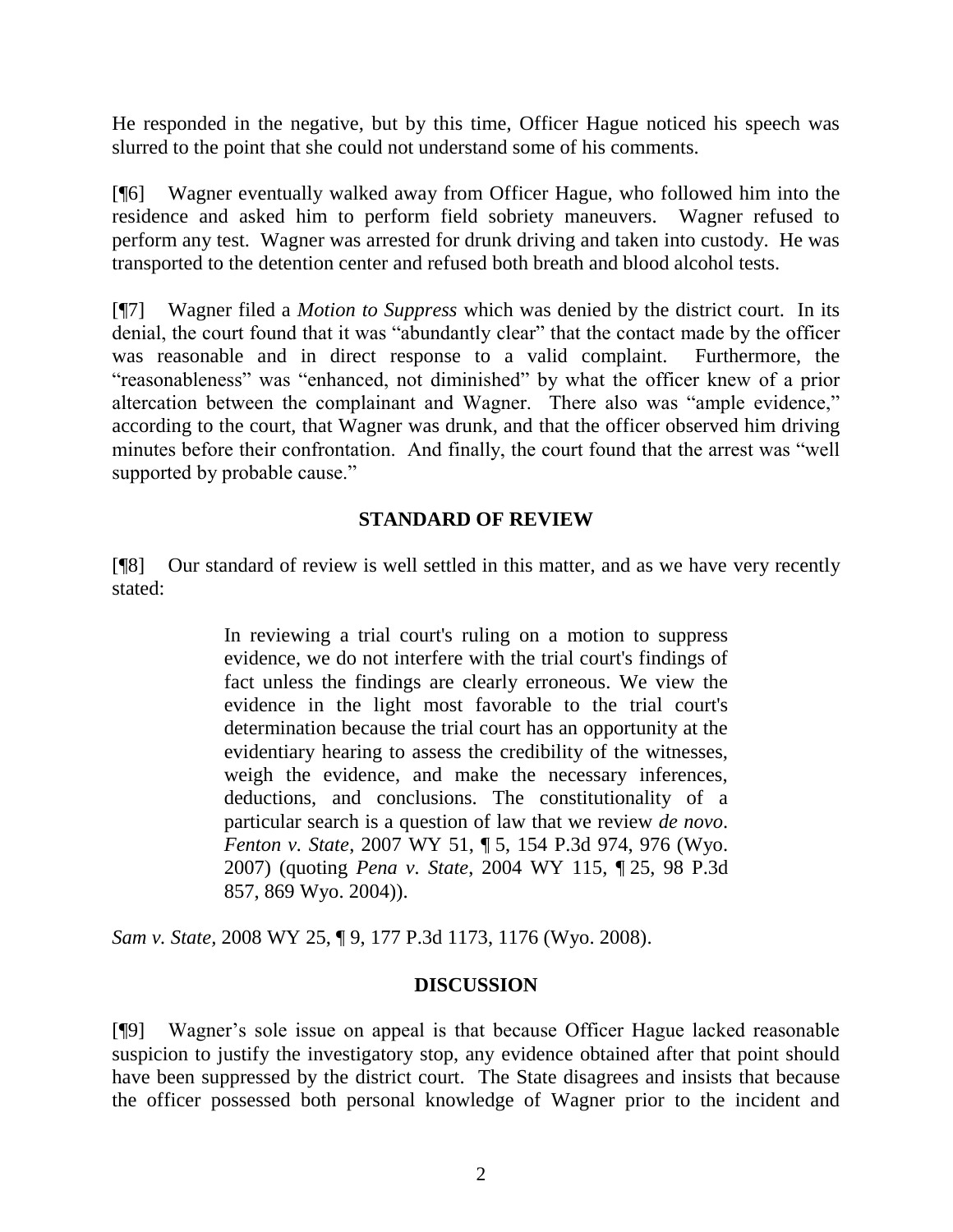He responded in the negative, but by this time, Officer Hague noticed his speech was slurred to the point that she could not understand some of his comments.

[¶6] Wagner eventually walked away from Officer Hague, who followed him into the residence and asked him to perform field sobriety maneuvers. Wagner refused to perform any test. Wagner was arrested for drunk driving and taken into custody. He was transported to the detention center and refused both breath and blood alcohol tests.

[¶7] Wagner filed a *Motion to Suppress* which was denied by the district court. In its denial, the court found that it was "abundantly clear" that the contact made by the officer was reasonable and in direct response to a valid complaint. Furthermore, the "reasonableness" was "enhanced, not diminished" by what the officer knew of a prior altercation between the complainant and Wagner. There also was "ample evidence," according to the court, that Wagner was drunk, and that the officer observed him driving minutes before their confrontation. And finally, the court found that the arrest was "well supported by probable cause."

# **STANDARD OF REVIEW**

[¶8] Our standard of review is well settled in this matter, and as we have very recently stated:

> In reviewing a trial court's ruling on a motion to suppress evidence, we do not interfere with the trial court's findings of fact unless the findings are clearly erroneous. We view the evidence in the light most favorable to the trial court's determination because the trial court has an opportunity at the evidentiary hearing to assess the credibility of the witnesses, weigh the evidence, and make the necessary inferences, deductions, and conclusions. The constitutionality of a particular search is a question of law that we review *de novo*. *Fenton v. State*, 2007 WY 51, ¶ 5, 154 P.3d 974, 976 (Wyo. 2007) (quoting *Pena v. State*, 2004 WY 115, ¶ 25, 98 P.3d 857, 869 Wyo. 2004)).

*Sam v. State,* 2008 WY 25, ¶ 9, 177 P.3d 1173, 1176 (Wyo. 2008).

### **DISCUSSION**

[¶9] Wagner's sole issue on appeal is that because Officer Hague lacked reasonable suspicion to justify the investigatory stop, any evidence obtained after that point should have been suppressed by the district court. The State disagrees and insists that because the officer possessed both personal knowledge of Wagner prior to the incident and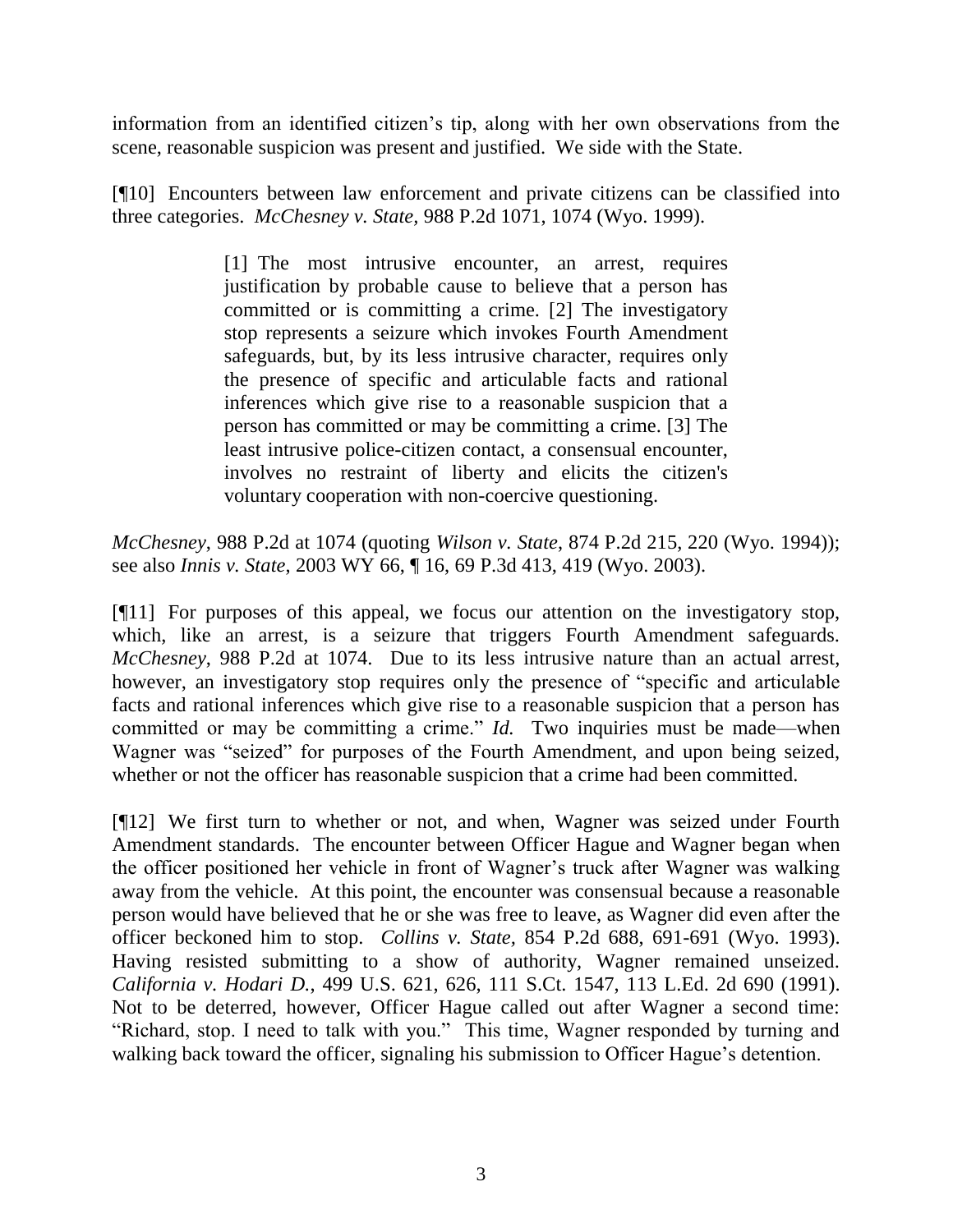information from an identified citizen's tip, along with her own observations from the scene, reasonable suspicion was present and justified. We side with the State.

[¶10] Encounters between law enforcement and private citizens can be classified into three categories. *McChesney v. State,* 988 P.2d 1071, 1074 (Wyo. 1999).

> [1] The most intrusive encounter, an arrest, requires justification by probable cause to believe that a person has committed or is committing a crime. [2] The investigatory stop represents a seizure which invokes Fourth Amendment safeguards, but, by its less intrusive character, requires only the presence of specific and articulable facts and rational inferences which give rise to a reasonable suspicion that a person has committed or may be committing a crime. [3] The least intrusive police-citizen contact, a consensual encounter, involves no restraint of liberty and elicits the citizen's voluntary cooperation with non-coercive questioning.

*McChesney*, 988 P.2d at 1074 (quoting *Wilson v. State*, 874 P.2d 215, 220 (Wyo. 1994)); see also *Innis v. State*, 2003 WY 66, ¶ 16, 69 P.3d 413, 419 (Wyo. 2003).

[¶11] For purposes of this appeal, we focus our attention on the investigatory stop, which, like an arrest, is a seizure that triggers Fourth Amendment safeguards. *McChesney*, 988 P.2d at 1074. Due to its less intrusive nature than an actual arrest, however, an investigatory stop requires only the presence of "specific and articulable facts and rational inferences which give rise to a reasonable suspicion that a person has committed or may be committing a crime." *Id.* Two inquiries must be made—when Wagner was "seized" for purposes of the Fourth Amendment, and upon being seized, whether or not the officer has reasonable suspicion that a crime had been committed.

[¶12] We first turn to whether or not, and when, Wagner was seized under Fourth Amendment standards. The encounter between Officer Hague and Wagner began when the officer positioned her vehicle in front of Wagner's truck after Wagner was walking away from the vehicle. At this point, the encounter was consensual because a reasonable person would have believed that he or she was free to leave, as Wagner did even after the officer beckoned him to stop. *Collins v. State,* 854 P.2d 688, 691-691 (Wyo. 1993). Having resisted submitting to a show of authority, Wagner remained unseized. *California v. Hodari D.*, 499 U.S. 621, 626, 111 S.Ct. 1547, 113 L.Ed. 2d 690 (1991). Not to be deterred, however, Officer Hague called out after Wagner a second time: "Richard, stop. I need to talk with you." This time, Wagner responded by turning and walking back toward the officer, signaling his submission to Officer Hague's detention.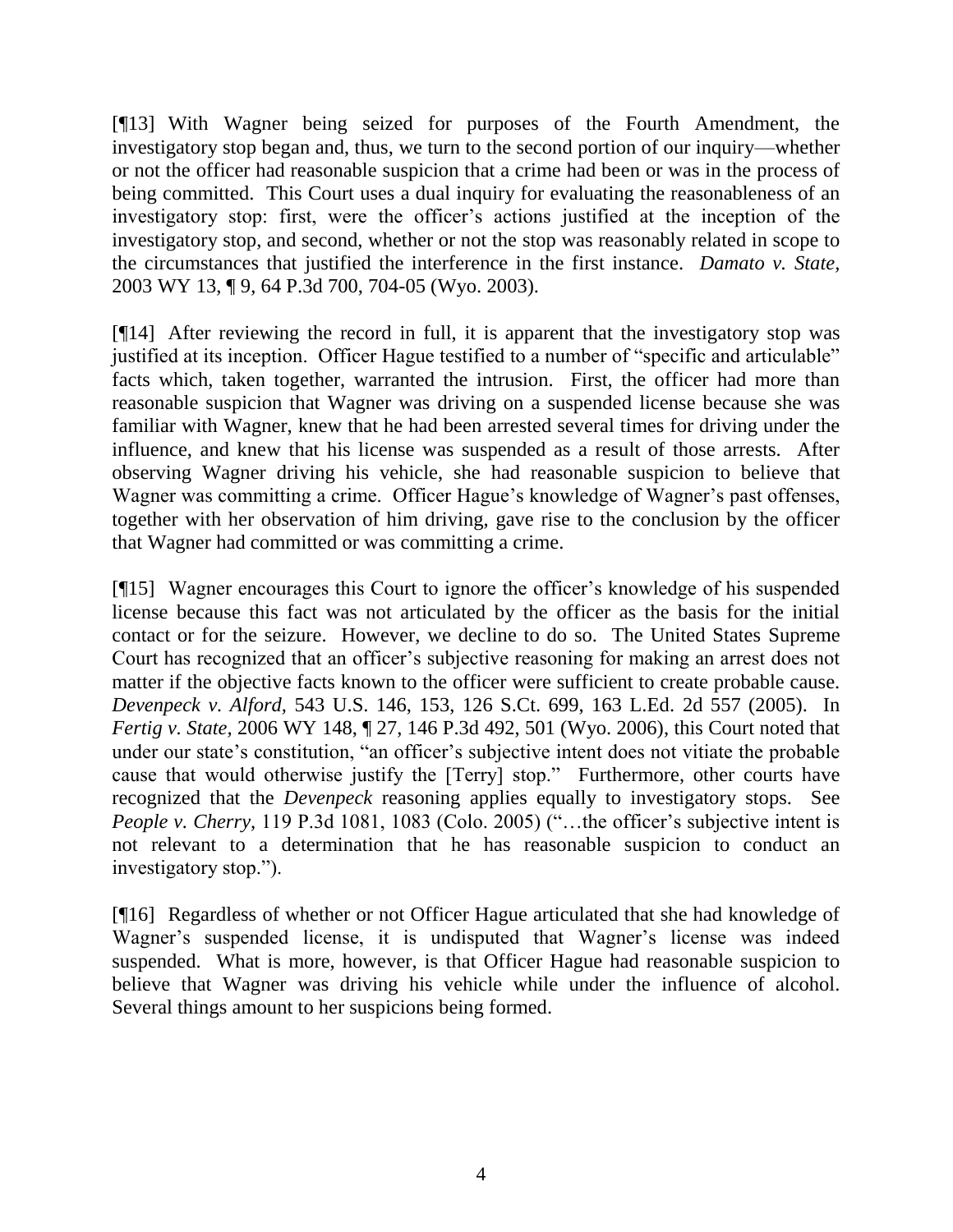[¶13] With Wagner being seized for purposes of the Fourth Amendment, the investigatory stop began and, thus, we turn to the second portion of our inquiry—whether or not the officer had reasonable suspicion that a crime had been or was in the process of being committed. This Court uses a dual inquiry for evaluating the reasonableness of an investigatory stop: first, were the officer's actions justified at the inception of the investigatory stop, and second, whether or not the stop was reasonably related in scope to the circumstances that justified the interference in the first instance. *Damato v. State,*  2003 WY 13, ¶ 9, 64 P.3d 700, 704-05 (Wyo. 2003).

[¶14] After reviewing the record in full, it is apparent that the investigatory stop was justified at its inception. Officer Hague testified to a number of "specific and articulable" facts which, taken together, warranted the intrusion. First, the officer had more than reasonable suspicion that Wagner was driving on a suspended license because she was familiar with Wagner, knew that he had been arrested several times for driving under the influence, and knew that his license was suspended as a result of those arrests. After observing Wagner driving his vehicle, she had reasonable suspicion to believe that Wagner was committing a crime. Officer Hague's knowledge of Wagner's past offenses, together with her observation of him driving, gave rise to the conclusion by the officer that Wagner had committed or was committing a crime.

[¶15] Wagner encourages this Court to ignore the officer's knowledge of his suspended license because this fact was not articulated by the officer as the basis for the initial contact or for the seizure. However, we decline to do so. The United States Supreme Court has recognized that an officer's subjective reasoning for making an arrest does not matter if the objective facts known to the officer were sufficient to create probable cause. *Devenpeck v. Alford,* 543 U.S. 146, 153, 126 S.Ct. 699, 163 L.Ed. 2d 557 (2005). In *Fertig v. State,* 2006 WY 148, ¶ 27, 146 P.3d 492, 501 (Wyo. 2006), this Court noted that under our state's constitution, "an officer's subjective intent does not vitiate the probable cause that would otherwise justify the [Terry] stop." Furthermore, other courts have recognized that the *Devenpeck* reasoning applies equally to investigatory stops. See *People v. Cherry,* 119 P.3d 1081, 1083 (Colo. 2005) ("...the officer's subjective intent is not relevant to a determination that he has reasonable suspicion to conduct an investigatory stop.").

[¶16] Regardless of whether or not Officer Hague articulated that she had knowledge of Wagner's suspended license, it is undisputed that Wagner's license was indeed suspended. What is more, however, is that Officer Hague had reasonable suspicion to believe that Wagner was driving his vehicle while under the influence of alcohol. Several things amount to her suspicions being formed.